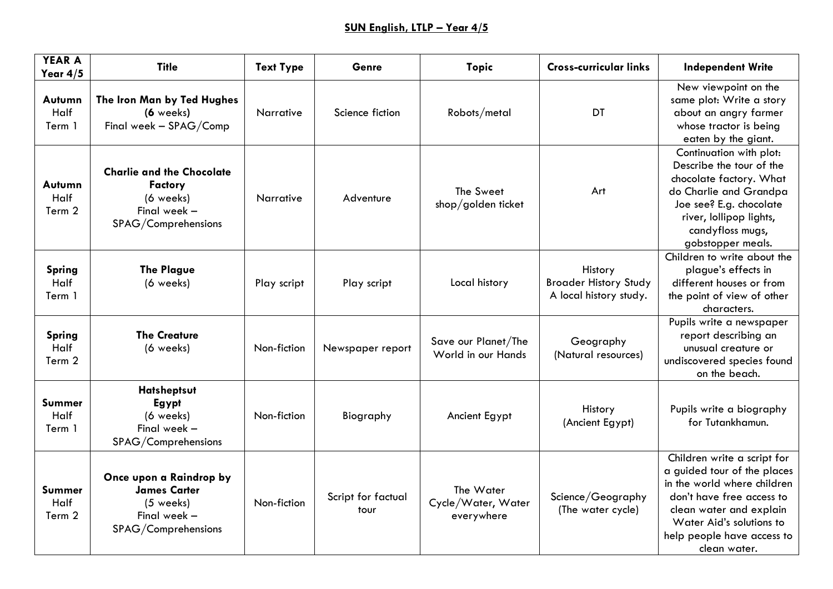| <b>YEAR A</b><br>Year $4/5$     | <b>Title</b>                                                                                           | <b>Text Type</b> | <b>Genre</b>               | <b>Topic</b>                                  | <b>Cross-curricular links</b>                                     | <b>Independent Write</b>                                                                                                                                                                                                    |
|---------------------------------|--------------------------------------------------------------------------------------------------------|------------------|----------------------------|-----------------------------------------------|-------------------------------------------------------------------|-----------------------------------------------------------------------------------------------------------------------------------------------------------------------------------------------------------------------------|
| Autumn<br>Half<br>Term 1        | The Iron Man by Ted Hughes<br>$(6$ weeks)<br>Final week - SPAG/Comp                                    | Narrative        | Science fiction            | Robots/metal                                  | DT                                                                | New viewpoint on the<br>same plot: Write a story<br>about an angry farmer<br>whose tractor is being<br>eaten by the giant.                                                                                                  |
| Autumn<br>Half<br>Term 2        | <b>Charlie and the Chocolate</b><br><b>Factory</b><br>(6 weeks)<br>Final week -<br>SPAG/Comprehensions | Narrative        | Adventure                  | The Sweet<br>shop/golden ticket               | Art                                                               | Continuation with plot:<br>Describe the tour of the<br>chocolate factory. What<br>do Charlie and Grandpa<br>Joe see? E.g. chocolate<br>river, lollipop lights,<br>candyfloss mugs,<br>gobstopper meals.                     |
| <b>Spring</b><br>Half<br>Term 1 | <b>The Plague</b><br>(6 weeks)                                                                         | Play script      | Play script                | Local history                                 | History<br><b>Broader History Study</b><br>A local history study. | Children to write about the<br>plague's effects in<br>different houses or from<br>the point of view of other<br>characters.                                                                                                 |
| <b>Spring</b><br>Half<br>Term 2 | <b>The Creature</b><br>(6 weeks)                                                                       | Non-fiction      | Newspaper report           | Save our Planet/The<br>World in our Hands     | Geography<br>(Natural resources)                                  | Pupils write a newspaper<br>report describing an<br>unusual creature or<br>undiscovered species found<br>on the beach.                                                                                                      |
| Summer<br>Half<br>Term 1        | Hatsheptsut<br>Egypt<br>(6 weeks)<br>Final week -<br>SPAG/Comprehensions                               | Non-fiction      | Biography                  | Ancient Egypt                                 | History<br>(Ancient Egypt)                                        | Pupils write a biography<br>for Tutankhamun.                                                                                                                                                                                |
| Summer<br>Half<br>Term 2        | Once upon a Raindrop by<br><b>James Carter</b><br>$(5$ weeks)<br>Final week -<br>SPAG/Comprehensions   | Non-fiction      | Script for factual<br>tour | The Water<br>Cycle/Water, Water<br>everywhere | Science/Geography<br>(The water cycle)                            | Children write a script for<br>a guided tour of the places<br>in the world where children<br>don't have free access to<br>clean water and explain<br>Water Aid's solutions to<br>help people have access to<br>clean water. |